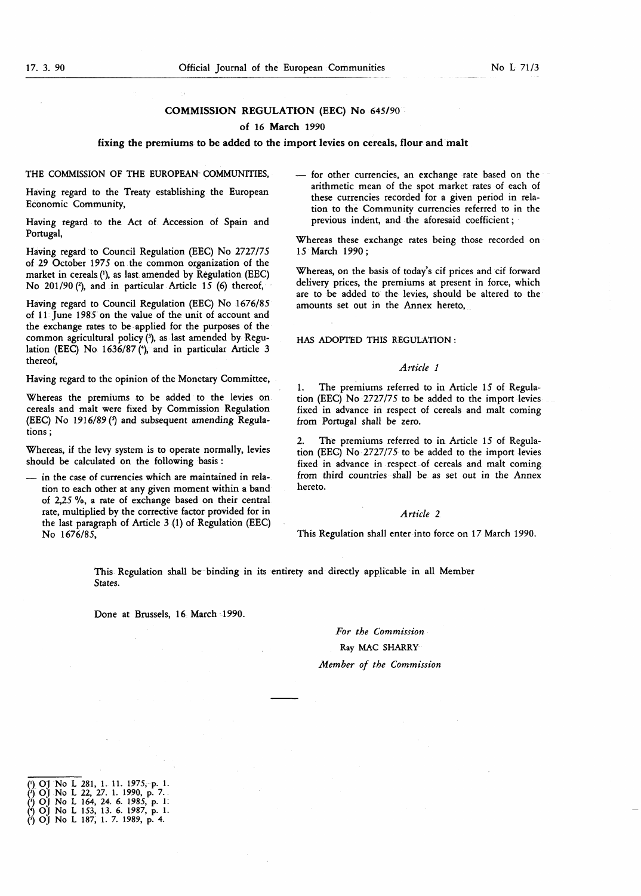# COMMISSION REGULATION (EEC) No 645/90

# of 16 March 1990

## fixing the premiums to be added to the import levies on cereals, flour and malt

## THE COMMISSION OF THE EUROPEAN COMMUNITIES.

Having regard to the Treaty establishing the European Economic Community,

Having regard to the Act of Accession of Spain and Portugal,

Having regard to Council Regulation (EEC) No 2727/75 of 29 October 1975 on the common organization of the market in cereals ('), as last amended by Regulation (EEC) No  $201/90$  (2), and in particular Article 15 (6) thereof,

Having regard to Council Regulation (EEC) No 1676/85 of 11 June 1985 on the value of the unit of account and the exchange rates to be applied for the purposes of the common agricultural policy (3), as last amended by Regulation (EEC) No 1636/87 (4), and in particular Article 3 thereof,

Having regard to the opinion of the Monetary Committee,

Whereas the premiums to be added to the levies on cereals and malt were fixed by Commission Regulation (EEC) No 1916/89 $($ <sup>3</sup> and subsequent amending Regulations ;

Whereas, if the levy system is to operate normally, levies should be calculated on the following basis :

— in the case of currencies which are maintained in relation to each other at any given moment within a band of 2,25 %, a rate of exchange based on their central rate, multiplied by the corrective factor provided for in the last paragraph of Article 3 (1) of Regulation (EEC) No 1676/85,

— for other currencies, an exchange rate based on the arithmetic mean of the spot market rates of each of these currencies recorded for a given period in relation to the Community currencies referred to in the previous indent, and the aforesaid coefficient ;

Whereas these exchange rates being those recorded on 15 March 1990 ;

Whereas, on the basis of today's cif prices and cif forward delivery prices, the premiums at present in force, which are to be added to the levies, should be altered to the amounts set out in the Annex hereto,

# HAS ADOPTED THIS REGULATION :

# Article <sup>1</sup>

1. The premiums referred to in Article 15 of Regulation (EEC) No 2727/75 to be added to the import levies fixed in advance in respect of cereals and malt coming from Portugal shall be zero.

2. The premiums referred to in Article 15 of Regulation (EEC) No 2727/75 to be added to the import levies fixed in advance in respect of cereals and malt coming from third countries shall be as set out in the Annex hereto.

#### Article 2

This Regulation shall enter into force on 17 March 1990.

This Regulation shall be binding in its entirety and directly applicable in all Member States.

Done at Brussels, 16 March 1990.

# For the Commission Ray MAC SHARRY Member of the Commission

<sup>(&#</sup>x27;) OJ No L 281, 1. 11. 1975, p. 1.<br>(') OJ No L 22, 27. 1. 1990, p. 7. (<sup>3</sup>) OJ No L 164, 24. 6. 1985, p. 1. (\*) OJ No L 153, 13. 6. 1987, p. 1.<br>(\*) OJ No L 187, 1. 7. 1989, p. 4.